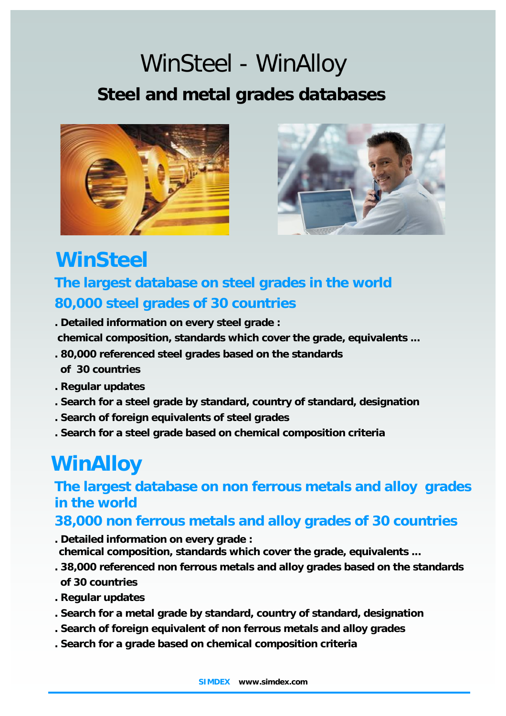# **Steel and metal grades databases** *WinSteel - WinAlloy*





## *WinSteel*

### **The largest database on steel grades in the world 80,000 steel grades of 30 countries**

**. Detailed information on every steel grade :**

 **chemical composition, standards which cover the grade, equivalents ...**

- **. 80,000 referenced steel grades based on the standards of 30 countries**
- **. Regular updates**
- **. Search for a steel grade by standard, country of standard, designation**
- **. Search of foreign equivalents of steel grades**
- **. Search for a steel grade based on chemical composition criteria**

### *WinAlloy*

#### **The largest database on non ferrous metals and alloy grades in the world**

#### **38,000 non ferrous metals and alloy grades of 30 countries**

- **. Detailed information on every grade :**
- **chemical composition, standards which cover the grade, equivalents ...**
- **. 38,000 referenced non ferrous metals and alloy grades based on the standards**
- **of 30 countries**
- **. Regular updates**
- **. Search for a metal grade by standard, country of standard, designation**
- **. Search of foreign equivalent of non ferrous metals and alloy grades**
- **. Search for a grade based on chemical composition criteria**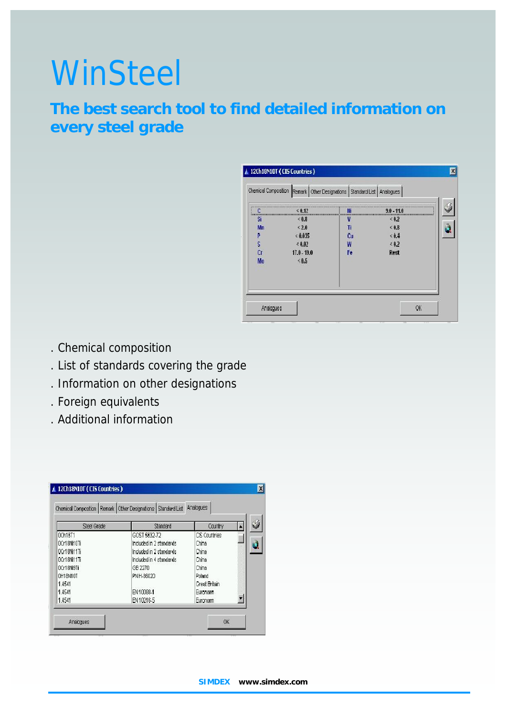# **WinSteel**

The best search tool to find detailed information on every steel grade

- . Chemical composition
- . List of standards covering the grade
- . Information on other designations
- . Foreign equivalents
- . Additional information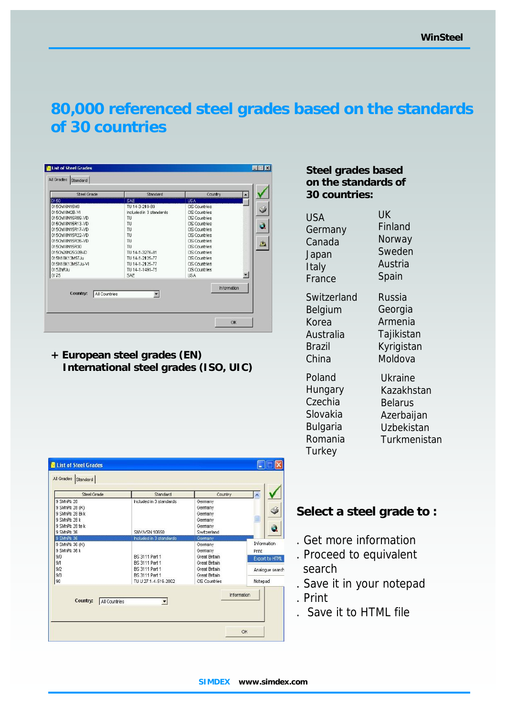#### 80,000 referenced steel gra[des](www.simdex.com) based on the standards of 30 countries

Steel grades based on the standards of 30 countries:

USA **Germany** Canada Japan Italy France UK Finland Norway Sweden Austria Spain

**Switzerland** Belgium Korea Australia Brazil China

Russia Georgia Armenia **Tajikistan** Kyrigistan Moldova

Poland **Hungary Czechia** Slovakia Bulgaria Romania **Turkey** 

Ukraine Kazakhstan **Belarus** Azerbaijan Uzbekistan **Turkmenistan** 

Select a steel grade to :

- . Get more information
- . Proceed to equivalent search
- . Save it in your notepad
- . Print
- . Save it to HTML file

+ European steel grades (EN) International steel grades (ISO, UIC)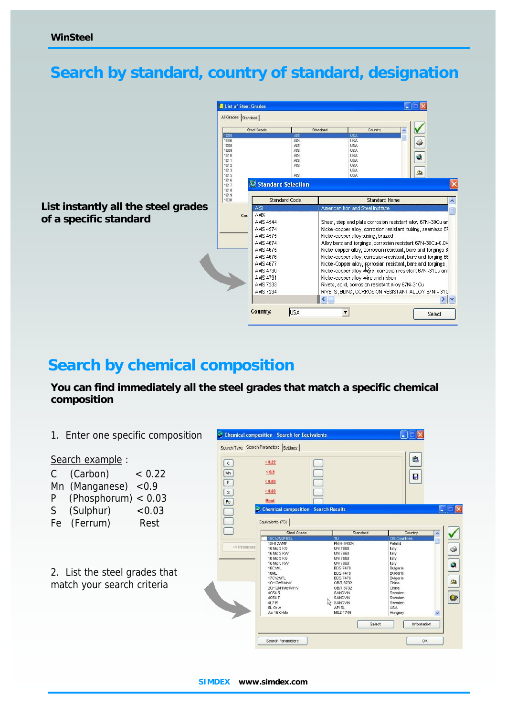#### Search by standard, country of standard, designation

List instantly all the steel grades of a specific standard

#### Search by chemical composition

You can find immediately all the steel grades that match a specific chemical composition

1. Enter one specific composition

Search example:

C (Carbon) < 0.22 Mn (Manganese) <0.9 P (Phosphorum) < 0.03 S (Sulphur) <0.03 Fe (Ferrum) Rest

2. List the steel grades that match your search criteria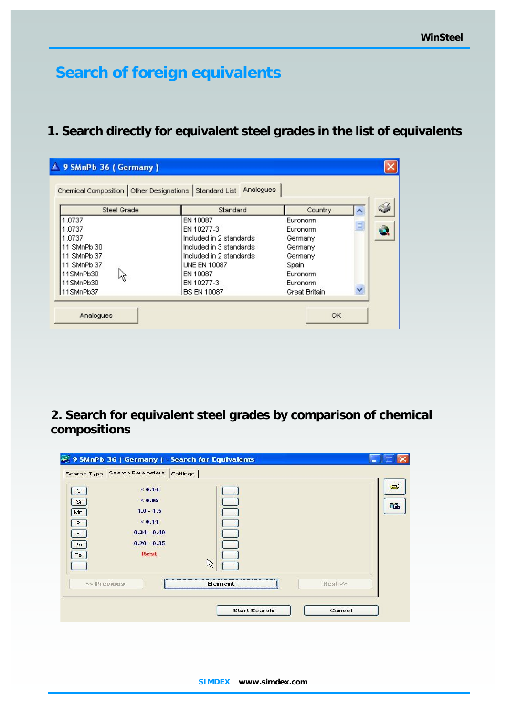### **Search of f[oreign eq](www.simdex.com)uivalents**

**1. Search directly for equivalent steel grades in the list of equivalents**

|                                                                                           | Chemical Composition   Other Designations   Standard List   Analogues                                                                               |                                                                            |   |
|-------------------------------------------------------------------------------------------|-----------------------------------------------------------------------------------------------------------------------------------------------------|----------------------------------------------------------------------------|---|
| Steel Grade                                                                               | Standard                                                                                                                                            | Country                                                                    | ㅅ |
| 1.0737<br>1.0737<br>1.0737<br>11 SMnPb 30<br>11 SMnPb 37<br>11 SMnPb 37<br>11SMnPb30<br>M | EN 10087<br>EN 10277-3<br>Included in 2 standards<br>Included in 3 standards.<br>Included in 2 standards.<br>UNE EN 10087<br>EN 10087<br>EN 10277-3 | Euronorm<br>Euronorm<br>Germany<br>Germany<br>Germany<br>Spain<br>Euronorm | E |
| 11SMnPb30<br>11SMnPb37                                                                    | <b>BS EN 10087</b>                                                                                                                                  | Euronorm<br>Great Britain                                                  | Y |

**2. Search for equivalent steel grades by comparison of chemical compositions**

|                                     | 9 SMnPb 36 (Germany) - Search for Equivalents                   |                     |         |     |
|-------------------------------------|-----------------------------------------------------------------|---------------------|---------|-----|
| $\mathsf{C}$<br>Si                  | Search Type Search Parameters Settings<br>0.14<br>< 0.05        |                     |         | êB. |
| Mn<br>P<br>$\mathbf{s}$<br>Pb<br>Fe | $1.0 - 1.5$<br>< 0.11<br>$0.34 - 0.40$<br>$0.20 - 0.35$<br>Rest |                     |         |     |
| << Previous                         |                                                                 | ピ<br>Element        | Next >> |     |
|                                     |                                                                 | <b>Start Search</b> | Cancel  |     |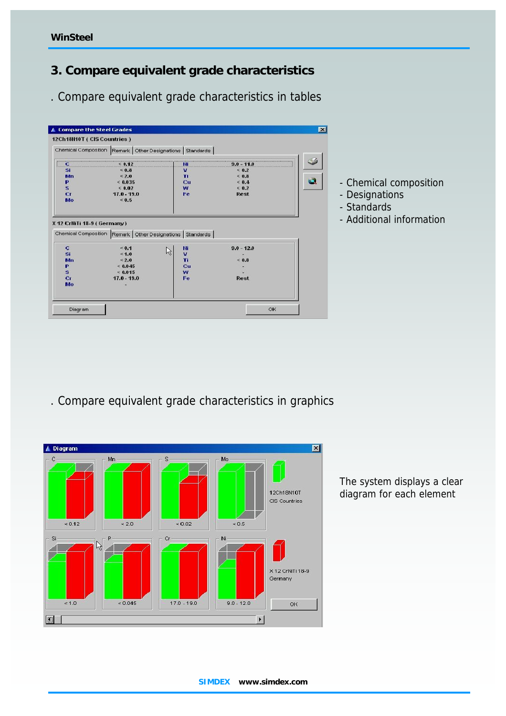- 3. Compare equivalent grade characteristics
- . Compare equivalent grade characteristics in tables

- Chemical composition
- Designations
- Standards
- Additional information

. Compare equivalent grade characteristics in graphics

The system displays a clear diagram for each element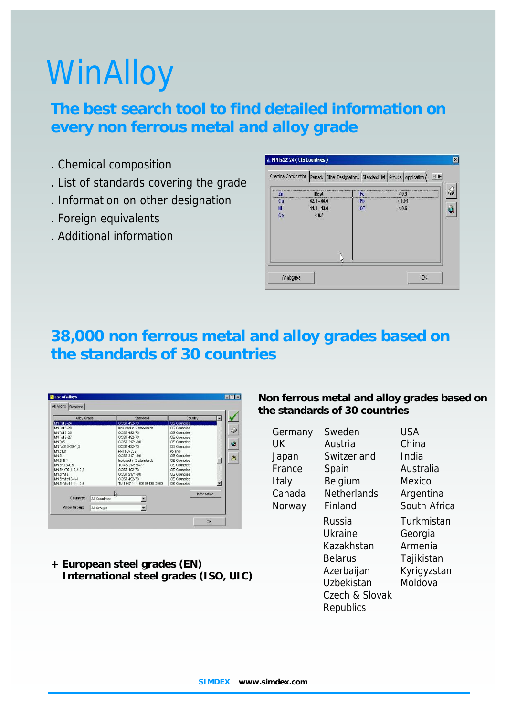# WinAl[loy](www.simdex.com)

#### **The best search tool to find detailed information on every non ferrous metal and alloy grade**

- . Chemical composition
- . List of standards covering the grade
- . Information on other designation
- . Foreign equivalents
- . Additional information

|                       |               |           | Chemical Composition Remark Other Designations Standard List Groups Application |  |
|-----------------------|---------------|-----------|---------------------------------------------------------------------------------|--|
| Zn<br><b>CARLO CA</b> | Rest          | Fe.       | ********************                                                            |  |
| Cu                    | $62.0 - 66.0$ | ₽b        | &0.05                                                                           |  |
| Πī                    | $11.0 - 13.0$ | <b>OT</b> | < 0.6                                                                           |  |
| <b>Co</b>             | 3.05          |           |                                                                                 |  |
|                       |               |           |                                                                                 |  |

#### **38,000 non ferrous metal and alloy grades based on the standards of 30 countries**

| MNTs12-24                                                                                                                                                                        |                                                                                                                                                                                                                                             |                                                                                                                                                                                                                                                      |  |
|----------------------------------------------------------------------------------------------------------------------------------------------------------------------------------|---------------------------------------------------------------------------------------------------------------------------------------------------------------------------------------------------------------------------------------------|------------------------------------------------------------------------------------------------------------------------------------------------------------------------------------------------------------------------------------------------------|--|
|                                                                                                                                                                                  | GOST 492-73                                                                                                                                                                                                                                 | <b>CIS Countries</b>                                                                                                                                                                                                                                 |  |
| MNTs15.20<br>MNTs18-20<br>MNTs18-27<br>MNTsS<br>MNTsS16-29-1.8<br>MNZ101<br>MNZh<br>MN7h5.1<br>MNZh9 3.0.5<br>MNZhKT5-1-0,2-0,2<br>MN7hMe.<br>MNZhNts10-1-1<br>MNZhNts11-1,1-0,6 | Included in 2 standards<br>GOST 492-73<br>GOST 492-73<br>GOST 2171-90<br>GOST 492-73<br>PN H-87052<br>GOST 2171-90<br>Included in 2 standards<br>TU 48-21-578-77<br>GOST 492-73<br>GOST 2171-90<br>GOST 492-73<br>TU 1847-111-00195430-2000 | CIS Countries<br><b>CIS Countries</b><br><b>CIS Countries</b><br><b>CIS Countries</b><br>CIS Countries<br>Poland<br><b>CIS Countries</b><br>CIS Countries<br>CIS Countries<br>OS Countries<br>CIS Countries<br>CIS Countries<br><b>CIS Countries</b> |  |

**+ European steel grades (EN) International steel grades (ISO, UIC)**

**Non ferrous metal and alloy grades based on the standards of 30 countries**

| Germany | Sweden                                                                                                       | USA                                                                      |
|---------|--------------------------------------------------------------------------------------------------------------|--------------------------------------------------------------------------|
| UK      | Austria                                                                                                      | China                                                                    |
| Japan   | Switzerland                                                                                                  | India                                                                    |
| France  | Spain                                                                                                        | Australia                                                                |
| Italy   | Belgium                                                                                                      | Mexico                                                                   |
| Canada  | <b>Netherlands</b>                                                                                           | Argentina                                                                |
| Norway  | Finland                                                                                                      | South Africa                                                             |
|         | Russia<br>Ukraine<br>Kazakhstan<br><b>Belarus</b><br>Azerbaijan<br>Uzbekistan<br>Czech & Slovak<br>Republics | Turkmistan<br>Georgia<br>Armenia<br>Tajikistan<br>Kyrigyzstan<br>Moldova |
|         |                                                                                                              |                                                                          |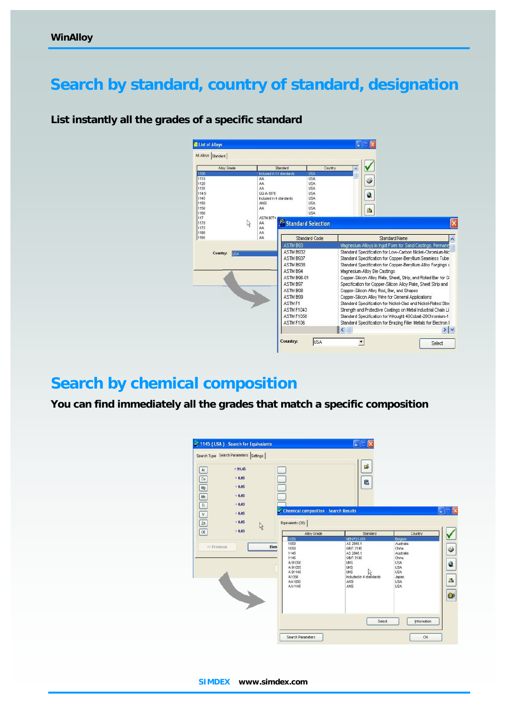#### Search by standard, country of standard, designation

List instantly all the grades of a specific standard

#### Search by chemical composition

You can find immediately all the grades that match a specific composition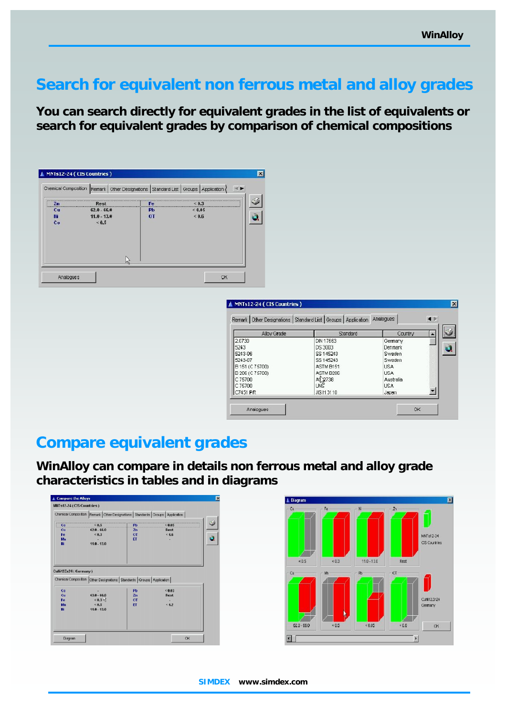#### Search for equivalent non ferrous metal and alloy grades

You can search directly for equivalent grades in the list of equivalents or search for equivalent grades by comparison of chemical compositions

#### Compare equivalent grades

WinAlloy can compare in details non ferrous metal and alloy grade characteristics in tables and in diagrams